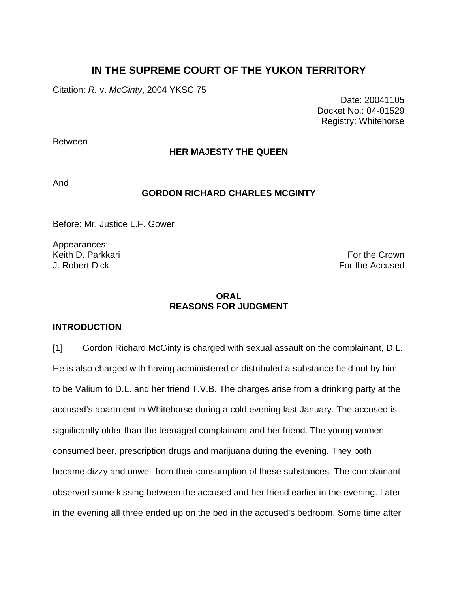# **IN THE SUPREME COURT OF THE YUKON TERRITORY**

Citation: *R.* v. *McGinty*, 2004 YKSC 75

 Date: 20041105 Docket No.: 04-01529 Registry: Whitehorse

Between

# **HER MAJESTY THE QUEEN**

And

# **GORDON RICHARD CHARLES MCGINTY**

Before: Mr. Justice L.F. Gower

Appearances: Keith D. Parkkari For the Crown Charles and the Crown For the Crown For the Crown J. Robert Dick For the Accused

# **ORAL REASONS FOR JUDGMENT**

# **INTRODUCTION**

[1] Gordon Richard McGinty is charged with sexual assault on the complainant, D.L. He is also charged with having administered or distributed a substance held out by him to be Valium to D.L. and her friend T.V.B. The charges arise from a drinking party at the accused's apartment in Whitehorse during a cold evening last January. The accused is significantly older than the teenaged complainant and her friend. The young women consumed beer, prescription drugs and marijuana during the evening. They both became dizzy and unwell from their consumption of these substances. The complainant observed some kissing between the accused and her friend earlier in the evening. Later in the evening all three ended up on the bed in the accused's bedroom. Some time after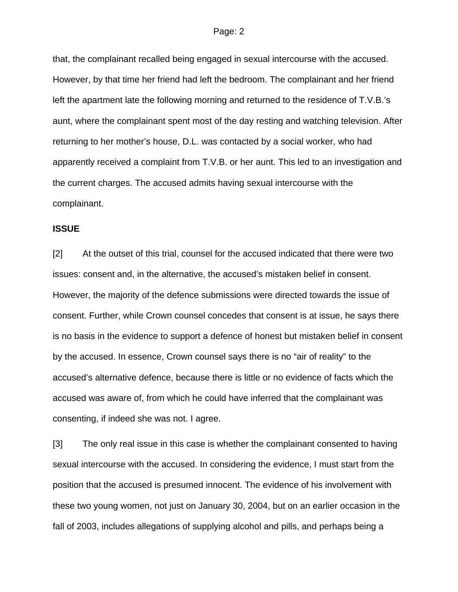that, the complainant recalled being engaged in sexual intercourse with the accused. However, by that time her friend had left the bedroom. The complainant and her friend left the apartment late the following morning and returned to the residence of T.V.B.'s aunt, where the complainant spent most of the day resting and watching television. After returning to her mother's house, D.L. was contacted by a social worker, who had apparently received a complaint from T.V.B. or her aunt. This led to an investigation and the current charges. The accused admits having sexual intercourse with the complainant.

# **ISSUE**

[2] At the outset of this trial, counsel for the accused indicated that there were two issues: consent and, in the alternative, the accused's mistaken belief in consent. However, the majority of the defence submissions were directed towards the issue of consent. Further, while Crown counsel concedes that consent is at issue, he says there is no basis in the evidence to support a defence of honest but mistaken belief in consent by the accused. In essence, Crown counsel says there is no "air of reality" to the accused's alternative defence, because there is little or no evidence of facts which the accused was aware of, from which he could have inferred that the complainant was consenting, if indeed she was not. I agree.

[3] The only real issue in this case is whether the complainant consented to having sexual intercourse with the accused. In considering the evidence, I must start from the position that the accused is presumed innocent. The evidence of his involvement with these two young women, not just on January 30, 2004, but on an earlier occasion in the fall of 2003, includes allegations of supplying alcohol and pills, and perhaps being a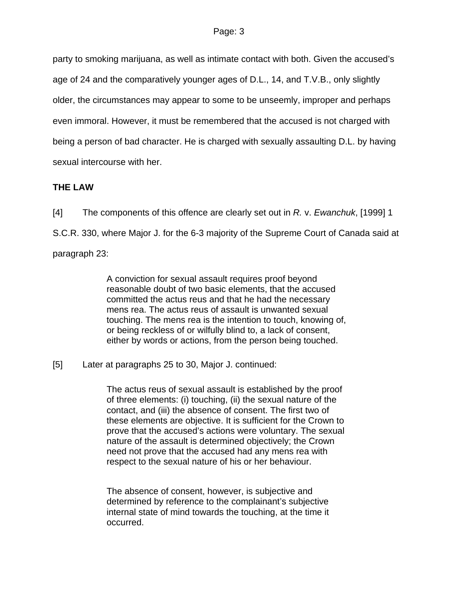party to smoking marijuana, as well as intimate contact with both. Given the accused's age of 24 and the comparatively younger ages of D.L., 14, and T.V.B., only slightly older, the circumstances may appear to some to be unseemly, improper and perhaps even immoral. However, it must be remembered that the accused is not charged with being a person of bad character. He is charged with sexually assaulting D.L. by having sexual intercourse with her.

# **THE LAW**

[4] The components of this offence are clearly set out in *R.* v. *Ewanchuk*, [1999] 1 S.C.R. 330, where Major J. for the 6-3 majority of the Supreme Court of Canada said at paragraph 23:

> A conviction for sexual assault requires proof beyond reasonable doubt of two basic elements, that the accused committed the actus reus and that he had the necessary mens rea. The actus reus of assault is unwanted sexual touching. The mens rea is the intention to touch, knowing of, or being reckless of or wilfully blind to, a lack of consent, either by words or actions, from the person being touched.

[5] Later at paragraphs 25 to 30, Major J. continued:

The actus reus of sexual assault is established by the proof of three elements: (i) touching, (ii) the sexual nature of the contact, and (iii) the absence of consent. The first two of these elements are objective. It is sufficient for the Crown to prove that the accused's actions were voluntary. The sexual nature of the assault is determined objectively; the Crown need not prove that the accused had any mens rea with respect to the sexual nature of his or her behaviour.

The absence of consent, however, is subjective and determined by reference to the complainant's subjective internal state of mind towards the touching, at the time it occurred.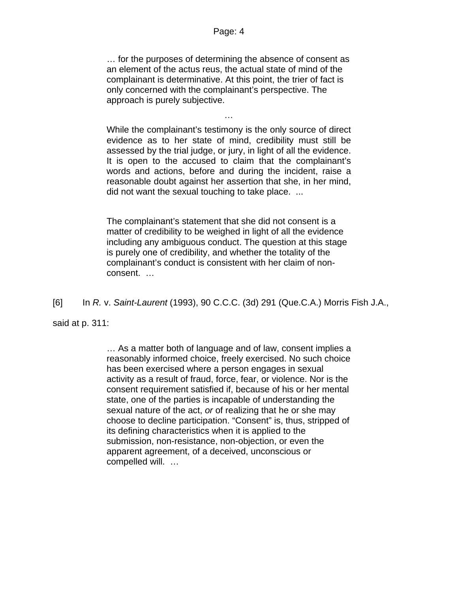… for the purposes of determining the absence of consent as an element of the actus reus, the actual state of mind of the complainant is determinative. At this point, the trier of fact is only concerned with the complainant's perspective. The approach is purely subjective.

…

While the complainant's testimony is the only source of direct evidence as to her state of mind, credibility must still be assessed by the trial judge, or jury, in light of all the evidence. It is open to the accused to claim that the complainant's words and actions, before and during the incident, raise a reasonable doubt against her assertion that she, in her mind, did not want the sexual touching to take place. ...

The complainant's statement that she did not consent is a matter of credibility to be weighed in light of all the evidence including any ambiguous conduct. The question at this stage is purely one of credibility, and whether the totality of the complainant's conduct is consistent with her claim of nonconsent. …

[6] In *R.* v. *Saint-Laurent* (1993), 90 C.C.C. (3d) 291 (Que.C.A.) Morris Fish J.A.,

said at p. 311:

… As a matter both of language and of law, consent implies a reasonably informed choice, freely exercised. No such choice has been exercised where a person engages in sexual activity as a result of fraud, force, fear, or violence. Nor is the consent requirement satisfied if, because of his or her mental state, one of the parties is incapable of understanding the sexual nature of the act, *or* of realizing that he or she may choose to decline participation. "Consent" is, thus, stripped of its defining characteristics when it is applied to the submission, non-resistance, non-objection, or even the apparent agreement, of a deceived, unconscious or compelled will. …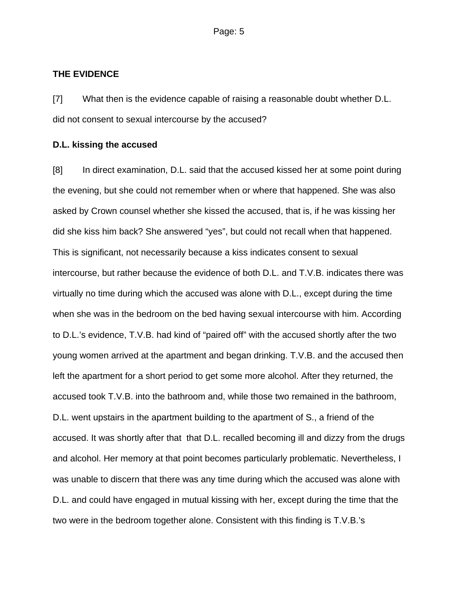# **THE EVIDENCE**

[7] What then is the evidence capable of raising a reasonable doubt whether D.L. did not consent to sexual intercourse by the accused?

# **D.L. kissing the accused**

[8] In direct examination, D.L. said that the accused kissed her at some point during the evening, but she could not remember when or where that happened. She was also asked by Crown counsel whether she kissed the accused, that is, if he was kissing her did she kiss him back? She answered "yes", but could not recall when that happened. This is significant, not necessarily because a kiss indicates consent to sexual intercourse, but rather because the evidence of both D.L. and T.V.B. indicates there was virtually no time during which the accused was alone with D.L., except during the time when she was in the bedroom on the bed having sexual intercourse with him. According to D.L.'s evidence, T.V.B. had kind of "paired off" with the accused shortly after the two young women arrived at the apartment and began drinking. T.V.B. and the accused then left the apartment for a short period to get some more alcohol. After they returned, the accused took T.V.B. into the bathroom and, while those two remained in the bathroom, D.L. went upstairs in the apartment building to the apartment of S., a friend of the accused. It was shortly after that that D.L. recalled becoming ill and dizzy from the drugs and alcohol. Her memory at that point becomes particularly problematic. Nevertheless, I was unable to discern that there was any time during which the accused was alone with D.L. and could have engaged in mutual kissing with her, except during the time that the two were in the bedroom together alone. Consistent with this finding is T.V.B.'s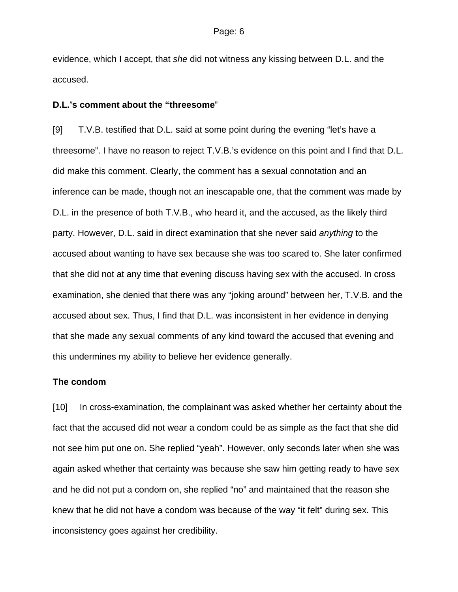evidence, which I accept, that *she* did not witness any kissing between D.L. and the accused.

### **D.L.'s comment about the "threesome**"

[9] T.V.B. testified that D.L. said at some point during the evening "let's have a threesome". I have no reason to reject T.V.B.'s evidence on this point and I find that D.L. did make this comment. Clearly, the comment has a sexual connotation and an inference can be made, though not an inescapable one, that the comment was made by D.L. in the presence of both T.V.B., who heard it, and the accused, as the likely third party. However, D.L. said in direct examination that she never said *anything* to the accused about wanting to have sex because she was too scared to. She later confirmed that she did not at any time that evening discuss having sex with the accused. In cross examination, she denied that there was any "joking around" between her, T.V.B. and the accused about sex. Thus, I find that D.L. was inconsistent in her evidence in denying that she made any sexual comments of any kind toward the accused that evening and this undermines my ability to believe her evidence generally.

# **The condom**

[10] In cross-examination, the complainant was asked whether her certainty about the fact that the accused did not wear a condom could be as simple as the fact that she did not see him put one on. She replied "yeah". However, only seconds later when she was again asked whether that certainty was because she saw him getting ready to have sex and he did not put a condom on, she replied "no" and maintained that the reason she knew that he did not have a condom was because of the way "it felt" during sex. This inconsistency goes against her credibility.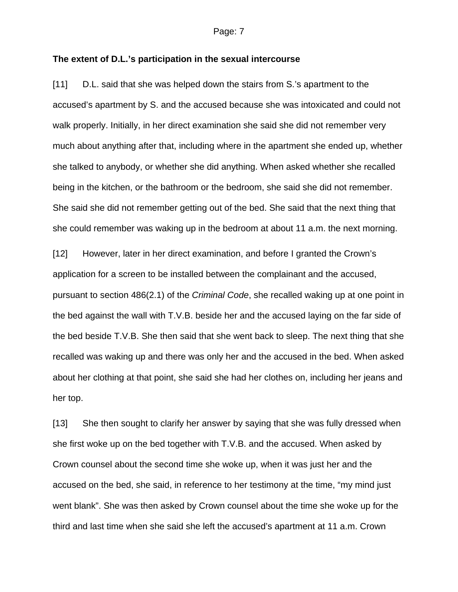#### **The extent of D.L.'s participation in the sexual intercourse**

[11] D.L. said that she was helped down the stairs from S.'s apartment to the accused's apartment by S. and the accused because she was intoxicated and could not walk properly. Initially, in her direct examination she said she did not remember very much about anything after that, including where in the apartment she ended up, whether she talked to anybody, or whether she did anything. When asked whether she recalled being in the kitchen, or the bathroom or the bedroom, she said she did not remember. She said she did not remember getting out of the bed. She said that the next thing that she could remember was waking up in the bedroom at about 11 a.m. the next morning.

[12] However, later in her direct examination, and before I granted the Crown's application for a screen to be installed between the complainant and the accused, pursuant to section 486(2.1) of the *Criminal Code*, she recalled waking up at one point in the bed against the wall with T.V.B. beside her and the accused laying on the far side of the bed beside T.V.B. She then said that she went back to sleep. The next thing that she recalled was waking up and there was only her and the accused in the bed. When asked about her clothing at that point, she said she had her clothes on, including her jeans and her top.

[13] She then sought to clarify her answer by saying that she was fully dressed when she first woke up on the bed together with T.V.B. and the accused. When asked by Crown counsel about the second time she woke up, when it was just her and the accused on the bed, she said, in reference to her testimony at the time, "my mind just went blank". She was then asked by Crown counsel about the time she woke up for the third and last time when she said she left the accused's apartment at 11 a.m. Crown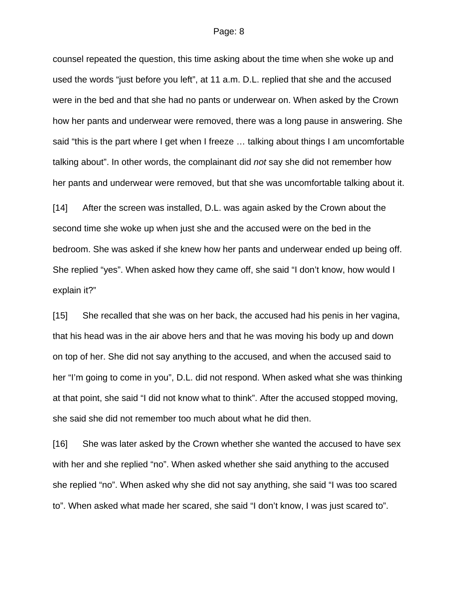counsel repeated the question, this time asking about the time when she woke up and used the words "just before you left", at 11 a.m. D.L. replied that she and the accused were in the bed and that she had no pants or underwear on. When asked by the Crown how her pants and underwear were removed, there was a long pause in answering. She said "this is the part where I get when I freeze … talking about things I am uncomfortable talking about". In other words, the complainant did *not* say she did not remember how her pants and underwear were removed, but that she was uncomfortable talking about it.

[14] After the screen was installed, D.L. was again asked by the Crown about the second time she woke up when just she and the accused were on the bed in the bedroom. She was asked if she knew how her pants and underwear ended up being off. She replied "yes". When asked how they came off, she said "I don't know, how would I explain it?"

[15] She recalled that she was on her back, the accused had his penis in her vagina, that his head was in the air above hers and that he was moving his body up and down on top of her. She did not say anything to the accused, and when the accused said to her "I'm going to come in you", D.L. did not respond. When asked what she was thinking at that point, she said "I did not know what to think". After the accused stopped moving, she said she did not remember too much about what he did then.

[16] She was later asked by the Crown whether she wanted the accused to have sex with her and she replied "no". When asked whether she said anything to the accused she replied "no". When asked why she did not say anything, she said "I was too scared to". When asked what made her scared, she said "I don't know, I was just scared to".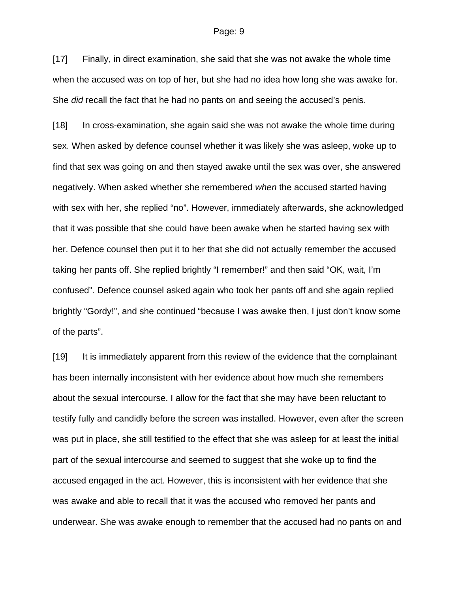[17] Finally, in direct examination, she said that she was not awake the whole time when the accused was on top of her, but she had no idea how long she was awake for. She *did* recall the fact that he had no pants on and seeing the accused's penis.

[18] In cross-examination, she again said she was not awake the whole time during sex. When asked by defence counsel whether it was likely she was asleep, woke up to find that sex was going on and then stayed awake until the sex was over, she answered negatively. When asked whether she remembered *when* the accused started having with sex with her, she replied "no". However, immediately afterwards, she acknowledged that it was possible that she could have been awake when he started having sex with her. Defence counsel then put it to her that she did not actually remember the accused taking her pants off. She replied brightly "I remember!" and then said "OK, wait, I'm confused". Defence counsel asked again who took her pants off and she again replied brightly "Gordy!", and she continued "because I was awake then, I just don't know some of the parts".

[19] It is immediately apparent from this review of the evidence that the complainant has been internally inconsistent with her evidence about how much she remembers about the sexual intercourse. I allow for the fact that she may have been reluctant to testify fully and candidly before the screen was installed. However, even after the screen was put in place, she still testified to the effect that she was asleep for at least the initial part of the sexual intercourse and seemed to suggest that she woke up to find the accused engaged in the act. However, this is inconsistent with her evidence that she was awake and able to recall that it was the accused who removed her pants and underwear. She was awake enough to remember that the accused had no pants on and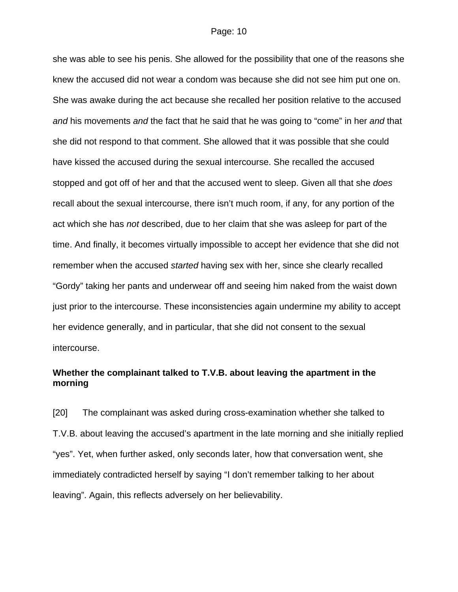she was able to see his penis. She allowed for the possibility that one of the reasons she knew the accused did not wear a condom was because she did not see him put one on. She was awake during the act because she recalled her position relative to the accused *and* his movements *and* the fact that he said that he was going to "come" in her *and* that she did not respond to that comment. She allowed that it was possible that she could have kissed the accused during the sexual intercourse. She recalled the accused stopped and got off of her and that the accused went to sleep. Given all that she *does* recall about the sexual intercourse, there isn't much room, if any, for any portion of the act which she has *not* described, due to her claim that she was asleep for part of the time. And finally, it becomes virtually impossible to accept her evidence that she did not remember when the accused *started* having sex with her, since she clearly recalled "Gordy" taking her pants and underwear off and seeing him naked from the waist down just prior to the intercourse. These inconsistencies again undermine my ability to accept her evidence generally, and in particular, that she did not consent to the sexual intercourse.

# **Whether the complainant talked to T.V.B. about leaving the apartment in the morning**

[20] The complainant was asked during cross-examination whether she talked to T.V.B. about leaving the accused's apartment in the late morning and she initially replied "yes". Yet, when further asked, only seconds later, how that conversation went, she immediately contradicted herself by saying "I don't remember talking to her about leaving". Again, this reflects adversely on her believability.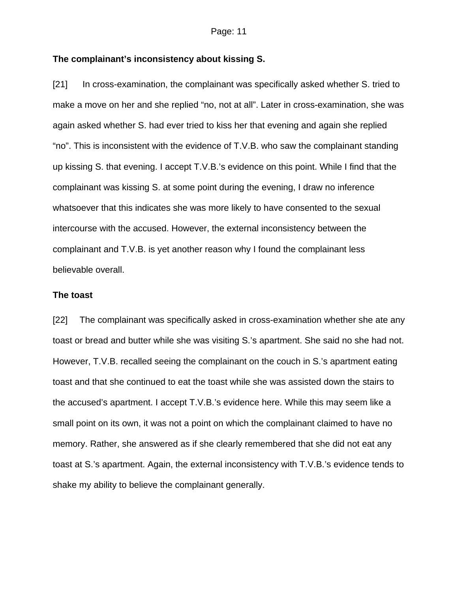# **The complainant's inconsistency about kissing S.**

[21] In cross-examination, the complainant was specifically asked whether S. tried to make a move on her and she replied "no, not at all". Later in cross-examination, she was again asked whether S. had ever tried to kiss her that evening and again she replied "no". This is inconsistent with the evidence of T.V.B. who saw the complainant standing up kissing S. that evening. I accept T.V.B.'s evidence on this point. While I find that the complainant was kissing S. at some point during the evening, I draw no inference whatsoever that this indicates she was more likely to have consented to the sexual intercourse with the accused. However, the external inconsistency between the complainant and T.V.B. is yet another reason why I found the complainant less believable overall.

#### **The toast**

[22] The complainant was specifically asked in cross-examination whether she ate any toast or bread and butter while she was visiting S.'s apartment. She said no she had not. However, T.V.B. recalled seeing the complainant on the couch in S.'s apartment eating toast and that she continued to eat the toast while she was assisted down the stairs to the accused's apartment. I accept T.V.B.'s evidence here. While this may seem like a small point on its own, it was not a point on which the complainant claimed to have no memory. Rather, she answered as if she clearly remembered that she did not eat any toast at S.'s apartment. Again, the external inconsistency with T.V.B.'s evidence tends to shake my ability to believe the complainant generally.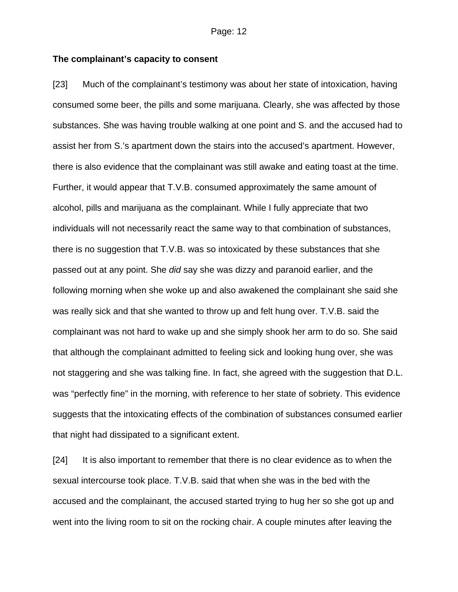# **The complainant's capacity to consent**

[23] Much of the complainant's testimony was about her state of intoxication, having consumed some beer, the pills and some marijuana. Clearly, she was affected by those substances. She was having trouble walking at one point and S. and the accused had to assist her from S.'s apartment down the stairs into the accused's apartment. However, there is also evidence that the complainant was still awake and eating toast at the time. Further, it would appear that T.V.B. consumed approximately the same amount of alcohol, pills and marijuana as the complainant. While I fully appreciate that two individuals will not necessarily react the same way to that combination of substances, there is no suggestion that T.V.B. was so intoxicated by these substances that she passed out at any point. She *did* say she was dizzy and paranoid earlier, and the following morning when she woke up and also awakened the complainant she said she was really sick and that she wanted to throw up and felt hung over. T.V.B. said the complainant was not hard to wake up and she simply shook her arm to do so. She said that although the complainant admitted to feeling sick and looking hung over, she was not staggering and she was talking fine. In fact, she agreed with the suggestion that D.L. was "perfectly fine" in the morning, with reference to her state of sobriety. This evidence suggests that the intoxicating effects of the combination of substances consumed earlier that night had dissipated to a significant extent.

[24] It is also important to remember that there is no clear evidence as to when the sexual intercourse took place. T.V.B. said that when she was in the bed with the accused and the complainant, the accused started trying to hug her so she got up and went into the living room to sit on the rocking chair. A couple minutes after leaving the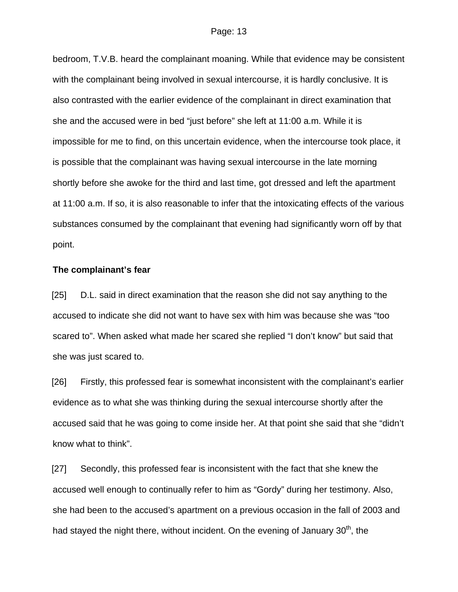bedroom, T.V.B. heard the complainant moaning. While that evidence may be consistent with the complainant being involved in sexual intercourse, it is hardly conclusive. It is also contrasted with the earlier evidence of the complainant in direct examination that she and the accused were in bed "just before" she left at 11:00 a.m. While it is impossible for me to find, on this uncertain evidence, when the intercourse took place, it is possible that the complainant was having sexual intercourse in the late morning shortly before she awoke for the third and last time, got dressed and left the apartment at 11:00 a.m. If so, it is also reasonable to infer that the intoxicating effects of the various substances consumed by the complainant that evening had significantly worn off by that point.

### **The complainant's fear**

[25] D.L. said in direct examination that the reason she did not say anything to the accused to indicate she did not want to have sex with him was because she was "too scared to". When asked what made her scared she replied "I don't know" but said that she was just scared to.

[26] Firstly, this professed fear is somewhat inconsistent with the complainant's earlier evidence as to what she was thinking during the sexual intercourse shortly after the accused said that he was going to come inside her. At that point she said that she "didn't know what to think".

[27] Secondly, this professed fear is inconsistent with the fact that she knew the accused well enough to continually refer to him as "Gordy" during her testimony. Also, she had been to the accused's apartment on a previous occasion in the fall of 2003 and had stayed the night there, without incident. On the evening of January  $30<sup>th</sup>$ , the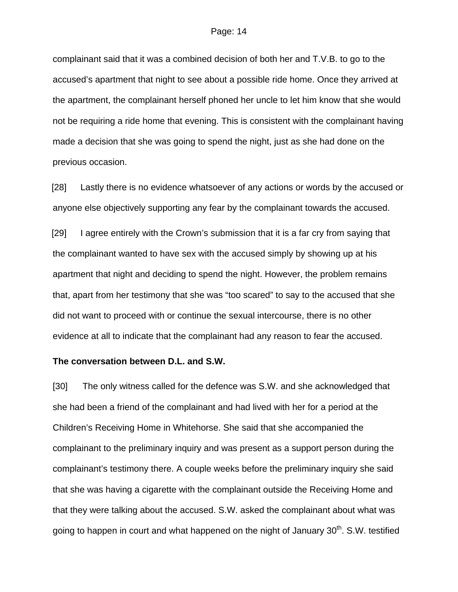complainant said that it was a combined decision of both her and T.V.B. to go to the accused's apartment that night to see about a possible ride home. Once they arrived at the apartment, the complainant herself phoned her uncle to let him know that she would not be requiring a ride home that evening. This is consistent with the complainant having made a decision that she was going to spend the night, just as she had done on the previous occasion.

[28] Lastly there is no evidence whatsoever of any actions or words by the accused or anyone else objectively supporting any fear by the complainant towards the accused.

[29] I agree entirely with the Crown's submission that it is a far cry from saying that the complainant wanted to have sex with the accused simply by showing up at his apartment that night and deciding to spend the night. However, the problem remains that, apart from her testimony that she was "too scared" to say to the accused that she did not want to proceed with or continue the sexual intercourse, there is no other evidence at all to indicate that the complainant had any reason to fear the accused.

#### **The conversation between D.L. and S.W.**

[30] The only witness called for the defence was S.W. and she acknowledged that she had been a friend of the complainant and had lived with her for a period at the Children's Receiving Home in Whitehorse. She said that she accompanied the complainant to the preliminary inquiry and was present as a support person during the complainant's testimony there. A couple weeks before the preliminary inquiry she said that she was having a cigarette with the complainant outside the Receiving Home and that they were talking about the accused. S.W. asked the complainant about what was going to happen in court and what happened on the night of January  $30<sup>th</sup>$ . S.W. testified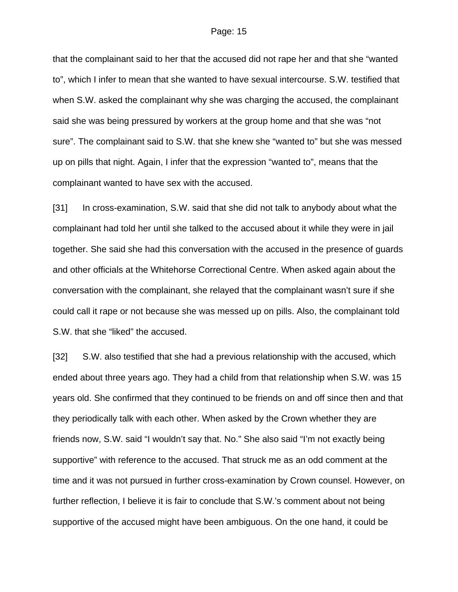that the complainant said to her that the accused did not rape her and that she "wanted to", which I infer to mean that she wanted to have sexual intercourse. S.W. testified that when S.W. asked the complainant why she was charging the accused, the complainant said she was being pressured by workers at the group home and that she was "not sure". The complainant said to S.W. that she knew she "wanted to" but she was messed up on pills that night. Again, I infer that the expression "wanted to", means that the complainant wanted to have sex with the accused.

[31] In cross-examination, S.W. said that she did not talk to anybody about what the complainant had told her until she talked to the accused about it while they were in jail together. She said she had this conversation with the accused in the presence of guards and other officials at the Whitehorse Correctional Centre. When asked again about the conversation with the complainant, she relayed that the complainant wasn't sure if she could call it rape or not because she was messed up on pills. Also, the complainant told S.W. that she "liked" the accused.

[32] S.W. also testified that she had a previous relationship with the accused, which ended about three years ago. They had a child from that relationship when S.W. was 15 years old. She confirmed that they continued to be friends on and off since then and that they periodically talk with each other. When asked by the Crown whether they are friends now, S.W. said "I wouldn't say that. No." She also said "I'm not exactly being supportive" with reference to the accused. That struck me as an odd comment at the time and it was not pursued in further cross-examination by Crown counsel. However, on further reflection, I believe it is fair to conclude that S.W.'s comment about not being supportive of the accused might have been ambiguous. On the one hand, it could be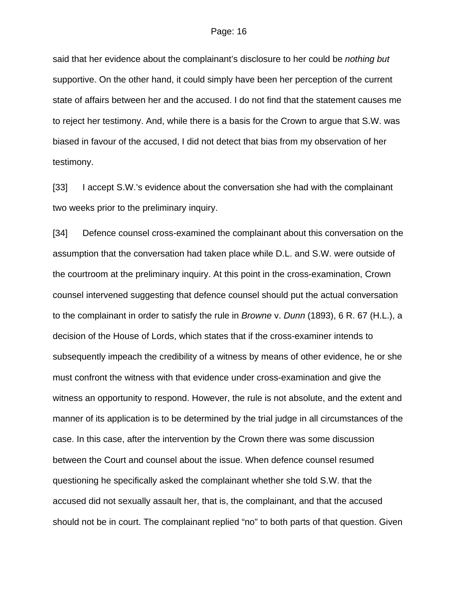said that her evidence about the complainant's disclosure to her could be *nothing but* supportive. On the other hand, it could simply have been her perception of the current state of affairs between her and the accused. I do not find that the statement causes me to reject her testimony. And, while there is a basis for the Crown to argue that S.W. was biased in favour of the accused, I did not detect that bias from my observation of her testimony.

[33] I accept S.W.'s evidence about the conversation she had with the complainant two weeks prior to the preliminary inquiry.

[34] Defence counsel cross-examined the complainant about this conversation on the assumption that the conversation had taken place while D.L. and S.W. were outside of the courtroom at the preliminary inquiry. At this point in the cross-examination, Crown counsel intervened suggesting that defence counsel should put the actual conversation to the complainant in order to satisfy the rule in *Browne* v. *Dunn* (1893), 6 R. 67 (H.L.), a decision of the House of Lords, which states that if the cross-examiner intends to subsequently impeach the credibility of a witness by means of other evidence, he or she must confront the witness with that evidence under cross-examination and give the witness an opportunity to respond. However, the rule is not absolute, and the extent and manner of its application is to be determined by the trial judge in all circumstances of the case. In this case, after the intervention by the Crown there was some discussion between the Court and counsel about the issue. When defence counsel resumed questioning he specifically asked the complainant whether she told S.W. that the accused did not sexually assault her, that is, the complainant, and that the accused should not be in court. The complainant replied "no" to both parts of that question. Given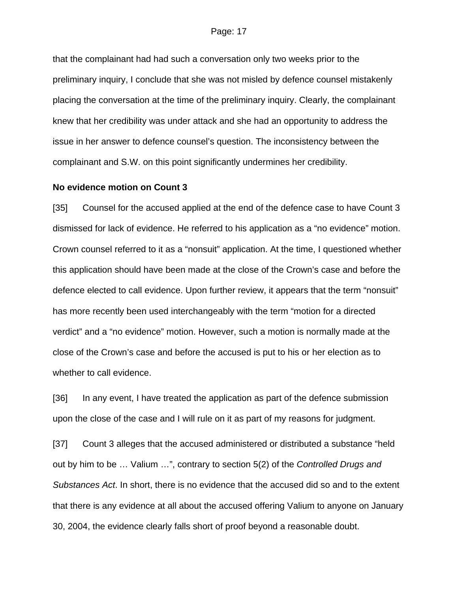that the complainant had had such a conversation only two weeks prior to the preliminary inquiry, I conclude that she was not misled by defence counsel mistakenly placing the conversation at the time of the preliminary inquiry. Clearly, the complainant knew that her credibility was under attack and she had an opportunity to address the issue in her answer to defence counsel's question. The inconsistency between the complainant and S.W. on this point significantly undermines her credibility.

#### **No evidence motion on Count 3**

[35] Counsel for the accused applied at the end of the defence case to have Count 3 dismissed for lack of evidence. He referred to his application as a "no evidence" motion. Crown counsel referred to it as a "nonsuit" application. At the time, I questioned whether this application should have been made at the close of the Crown's case and before the defence elected to call evidence. Upon further review, it appears that the term "nonsuit" has more recently been used interchangeably with the term "motion for a directed verdict" and a "no evidence" motion. However, such a motion is normally made at the close of the Crown's case and before the accused is put to his or her election as to whether to call evidence.

[36] In any event, I have treated the application as part of the defence submission upon the close of the case and I will rule on it as part of my reasons for judgment.

[37] Count 3 alleges that the accused administered or distributed a substance "held out by him to be … Valium …", contrary to section 5(2) of the *Controlled Drugs and Substances Act*. In short, there is no evidence that the accused did so and to the extent that there is any evidence at all about the accused offering Valium to anyone on January 30, 2004, the evidence clearly falls short of proof beyond a reasonable doubt.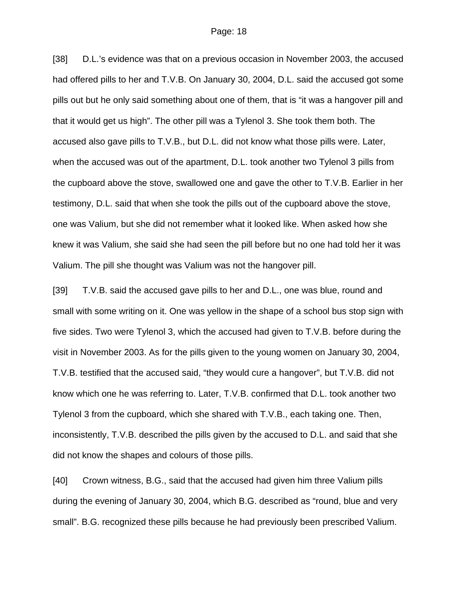[38] D.L.'s evidence was that on a previous occasion in November 2003, the accused had offered pills to her and T.V.B. On January 30, 2004, D.L. said the accused got some pills out but he only said something about one of them, that is "it was a hangover pill and that it would get us high". The other pill was a Tylenol 3. She took them both. The accused also gave pills to T.V.B., but D.L. did not know what those pills were. Later, when the accused was out of the apartment, D.L. took another two Tylenol 3 pills from the cupboard above the stove, swallowed one and gave the other to T.V.B. Earlier in her testimony, D.L. said that when she took the pills out of the cupboard above the stove, one was Valium, but she did not remember what it looked like. When asked how she knew it was Valium, she said she had seen the pill before but no one had told her it was Valium. The pill she thought was Valium was not the hangover pill.

[39] T.V.B. said the accused gave pills to her and D.L., one was blue, round and small with some writing on it. One was yellow in the shape of a school bus stop sign with five sides. Two were Tylenol 3, which the accused had given to T.V.B. before during the visit in November 2003. As for the pills given to the young women on January 30, 2004, T.V.B. testified that the accused said, "they would cure a hangover", but T.V.B. did not know which one he was referring to. Later, T.V.B. confirmed that D.L. took another two Tylenol 3 from the cupboard, which she shared with T.V.B., each taking one. Then, inconsistently, T.V.B. described the pills given by the accused to D.L. and said that she did not know the shapes and colours of those pills.

[40] Crown witness, B.G., said that the accused had given him three Valium pills during the evening of January 30, 2004, which B.G. described as "round, blue and very small". B.G. recognized these pills because he had previously been prescribed Valium.